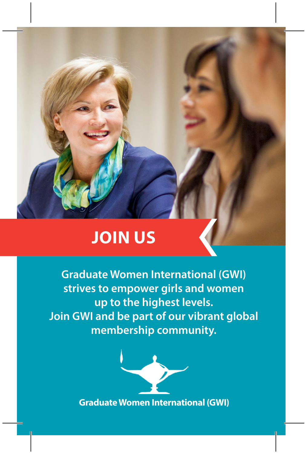## **JOIN US**

**Graduate Women International (GWI) strives to empower girls and women up to the highest levels. Join GWI and be part of our vibrant global membership community.**

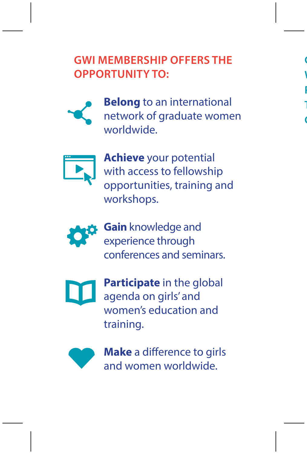## **GWI MEMBERSHIP OFFERS THE OPPORTUNITY TO:**

 $\mathbf$ **WOMEN'S EDUCATION MAKES IT A PILLAR IN ADDRESSING THE BARRIERS THAT PREVENT THE EMPOWERMENT OF** 

**GIRLS AND WOMEN.**





**Achieve** your potential with access to fellowship opportunities, training and workshops.



**Gain** knowledge and experience through conferences and seminars.



**Participate** in the global agenda on girls' and women's education and training.



**Make** a difference to girls and women worldwide.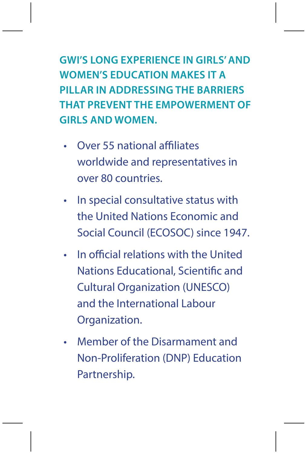**GWI'S LONG EXPERIENCE IN GIRLS' AND WOMEN'S EDUCATION MAKES IT A PILLAR IN ADDRESSING THE BARRIERS THAT PREVENT THE EMPOWERMENT OF GIRLS AND WOMEN.** 

- Over 55 national affiliates worldwide and representatives in over 80 countries.
- In special consultative status with the United Nations Economic and Social Council (ECOSOC) since 1947.
- In official relations with the United Nations Educational, Scientific and Cultural Organization (UNESCO) and the International Labour Organization.
- Member of the Disarmament and Non-Proliferation (DNP) Education Partnership.